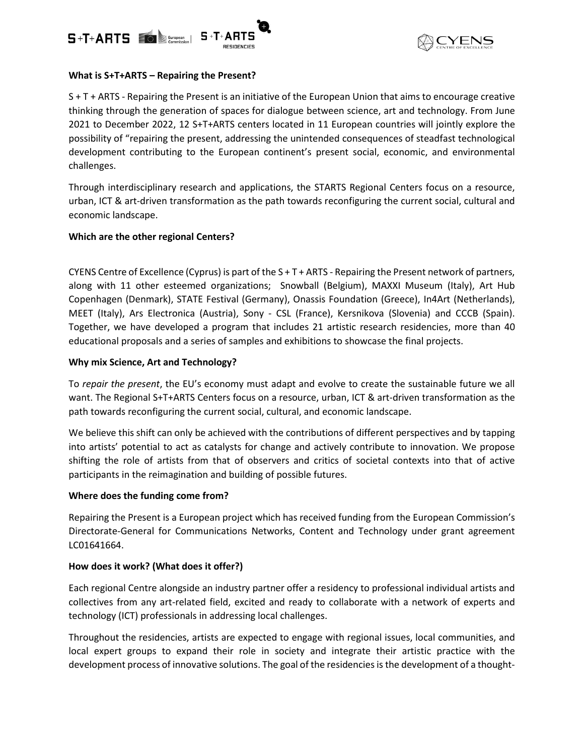



## **What is S+T+ARTS – Repairing the Present?**

S + T + ARTS - Repairing the Present is an initiative of the European Union that aims to encourage creative thinking through the generation of spaces for dialogue between science, art and technology. From June 2021 to December 2022, 12 S+T+ARTS centers located in 11 European countries will jointly explore the possibility of "repairing the present, addressing the unintended consequences of steadfast technological development contributing to the European continent's present social, economic, and environmental challenges.

Through interdisciplinary research and applications, the STARTS Regional Centers focus on a resource, urban, ICT & art-driven transformation as the path towards reconfiguring the current social, cultural and economic landscape.

# **Which are the other regional Centers?**

CYENS Centre of Excellence (Cyprus) is part of the  $S + T + ARTS - Repairing$  the Present network of partners, along with 11 other esteemed organizations; Snowball (Belgium), MAXXI Museum (Italy), Art Hub Copenhagen (Denmark), STATE Festival (Germany), Onassis Foundation (Greece), In4Art (Netherlands), MEET (Italy), Ars Electronica (Austria), Sony - CSL (France), Kersnikova (Slovenia) and CCCB (Spain). Together, we have developed a program that includes 21 artistic research residencies, more than 40 educational proposals and a series of samples and exhibitions to showcase the final projects.

### **Why mix Science, Art and Technology?**

To *repair the present*, the EU's economy must adapt and evolve to create the sustainable future we all want. The Regional S+T+ARTS Centers focus on a resource, urban, ICT & art-driven transformation as the path towards reconfiguring the current social, cultural, and economic landscape.

We believe this shift can only be achieved with the contributions of different perspectives and by tapping into artists' potential to act as catalysts for change and actively contribute to innovation. We propose shifting the role of artists from that of observers and critics of societal contexts into that of active participants in the reimagination and building of possible futures.

#### **Where does the funding come from?**

Repairing the Present is a European project which has received funding from the European Commission's Directorate-General for Communications Networks, Content and Technology under grant agreement LC01641664.

# **How does it work? (What does it offer?)**

Each regional Centre alongside an industry partner offer a residency to professional individual artists and collectives from any art-related field, excited and ready to collaborate with a network of experts and technology (ICT) professionals in addressing local challenges.

Throughout the residencies, artists are expected to engage with regional issues, local communities, and local expert groups to expand their role in society and integrate their artistic practice with the development process of innovative solutions. The goal of the residencies is the development of a thought-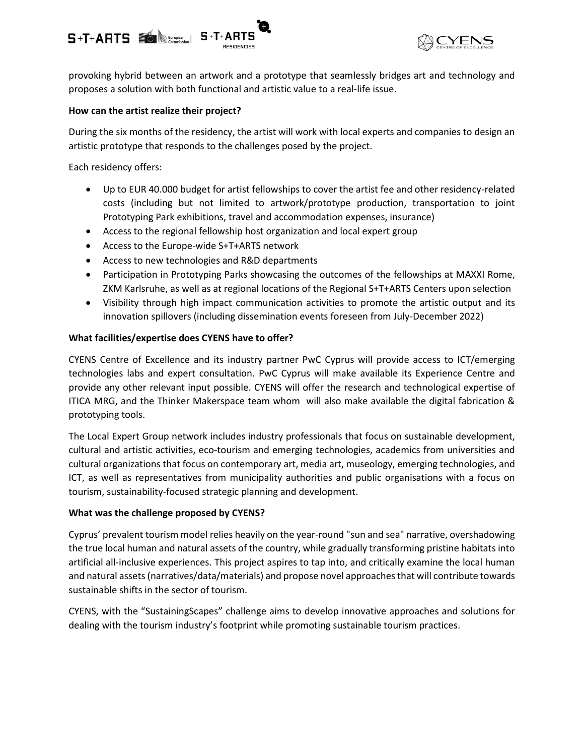



provoking hybrid between an artwork and a prototype that seamlessly bridges art and technology and proposes a solution with both functional and artistic value to a real-life issue.

## **How can the artist realize their project?**

During the six months of the residency, the artist will work with local experts and companies to design an artistic prototype that responds to the challenges posed by the project.

Each residency offers:

- Up to EUR 40.000 budget for artist fellowships to cover the artist fee and other residency-related costs (including but not limited to artwork/prototype production, transportation to joint Prototyping Park exhibitions, travel and accommodation expenses, insurance)
- Access to the regional fellowship host organization and local expert group
- Access to the Europe-wide S+T+ARTS network
- Access to new technologies and R&D departments
- Participation in Prototyping Parks showcasing the outcomes of the fellowships at MAXXI Rome, ZKM Karlsruhe, as well as at regional locations of the Regional S+T+ARTS Centers upon selection
- Visibility through high impact communication activities to promote the artistic output and its innovation spillovers (including dissemination events foreseen from July-December 2022)

### **What facilities/expertise does CYENS have to offer?**

CYENS Centre of Excellence and its industry partner PwC Cyprus will provide access to ICT/emerging technologies labs and expert consultation. PwC Cyprus will make available its Experience Centre and provide any other relevant input possible. CYENS will offer the research and technological expertise of ITICA MRG, and the Thinker Makerspace team whom will also make available the digital fabrication & prototyping tools.

The Local Expert Group network includes industry professionals that focus on sustainable development, cultural and artistic activities, eco-tourism and emerging technologies, academics from universities and cultural organizations that focus on contemporary art, media art, museology, emerging technologies, and ICT, as well as representatives from municipality authorities and public organisations with a focus on tourism, sustainability-focused strategic planning and development.

#### **What was the challenge proposed by CYENS?**

Cyprus' prevalent tourism model relies heavily on the year-round "sun and sea" narrative, overshadowing the true local human and natural assets of the country, while gradually transforming pristine habitats into artificial all-inclusive experiences. This project aspires to tap into, and critically examine the local human and natural assets (narratives/data/materials) and propose novel approaches that will contribute towards sustainable shifts in the sector of tourism.

CYENS, with the "SustainingScapes" challenge aims to develop innovative approaches and solutions for dealing with the tourism industry's footprint while promoting sustainable tourism practices.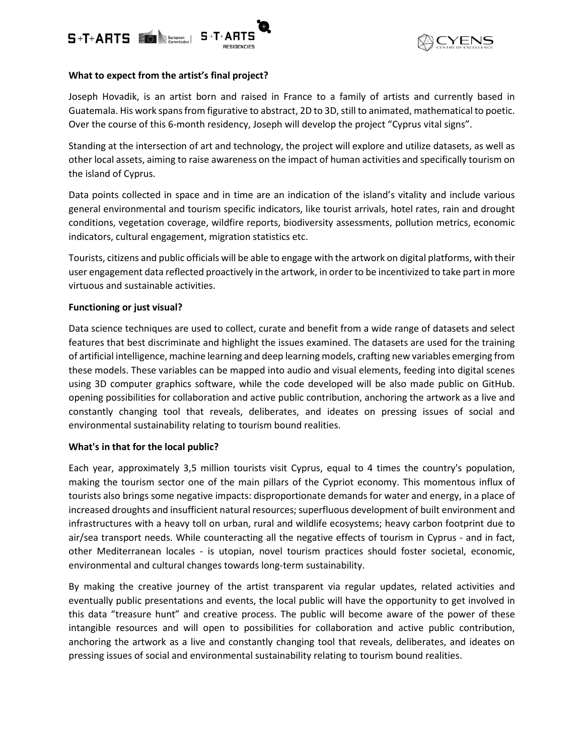



## **What to expect from the artist's final project?**

Joseph Hovadik, is an artist born and raised in France to a family of artists and currently based in Guatemala. His work spans from figurative to abstract, 2D to 3D, still to animated, mathematical to poetic. Over the course of this 6-month residency, Joseph will develop the project "Cyprus vital signs".

Standing at the intersection of art and technology, the project will explore and utilize datasets, as well as other local assets, aiming to raise awareness on the impact of human activities and specifically tourism on the island of Cyprus.

Data points collected in space and in time are an indication of the island's vitality and include various general environmental and tourism specific indicators, like tourist arrivals, hotel rates, rain and drought conditions, vegetation coverage, wildfire reports, biodiversity assessments, pollution metrics, economic indicators, cultural engagement, migration statistics etc.

Tourists, citizens and public officials will be able to engage with the artwork on digital platforms, with their user engagement data reflected proactively in the artwork, in order to be incentivized to take part in more virtuous and sustainable activities.

### **Functioning or just visual?**

Data science techniques are used to collect, curate and benefit from a wide range of datasets and select features that best discriminate and highlight the issues examined. The datasets are used for the training of artificial intelligence, machine learning and deep learning models, crafting new variables emerging from these models. These variables can be mapped into audio and visual elements, feeding into digital scenes using 3D computer graphics software, while the code developed will be also made public on GitHub. opening possibilities for collaboration and active public contribution, anchoring the artwork as a live and constantly changing tool that reveals, deliberates, and ideates on pressing issues of social and environmental sustainability relating to tourism bound realities.

#### **What's in that for the local public?**

Each year, approximately 3,5 million tourists visit Cyprus, equal to 4 times the country's population, making the tourism sector one of the main pillars of the Cypriot economy. This momentous influx of tourists also brings some negative impacts: disproportionate demands for water and energy, in a place of increased droughts and insufficient natural resources; superfluous development of built environment and infrastructures with a heavy toll on urban, rural and wildlife ecosystems; heavy carbon footprint due to air/sea transport needs. While counteracting all the negative effects of tourism in Cyprus - and in fact, other Mediterranean locales - is utopian, novel tourism practices should foster societal, economic, environmental and cultural changes towards long-term sustainability.

By making the creative journey of the artist transparent via regular updates, related activities and eventually public presentations and events, the local public will have the opportunity to get involved in this data "treasure hunt" and creative process. The public will become aware of the power of these intangible resources and will open to possibilities for collaboration and active public contribution, anchoring the artwork as a live and constantly changing tool that reveals, deliberates, and ideates on pressing issues of social and environmental sustainability relating to tourism bound realities.